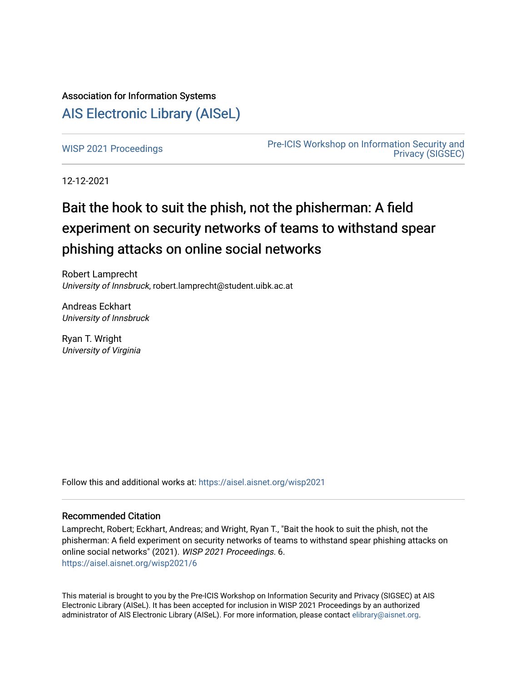# Association for Information Systems [AIS Electronic Library \(AISeL\)](https://aisel.aisnet.org/)

[WISP 2021 Proceedings](https://aisel.aisnet.org/wisp2021) **Pre-ICIS Workshop on Information Security and** [Privacy \(SIGSEC\)](https://aisel.aisnet.org/sigsec) 

12-12-2021

# Bait the hook to suit the phish, not the phisherman: A field experiment on security networks of teams to withstand spear phishing attacks on online social networks

Robert Lamprecht University of Innsbruck, robert.lamprecht@student.uibk.ac.at

Andreas Eckhart University of Innsbruck

Ryan T. Wright University of Virginia

Follow this and additional works at: [https://aisel.aisnet.org/wisp2021](https://aisel.aisnet.org/wisp2021?utm_source=aisel.aisnet.org%2Fwisp2021%2F6&utm_medium=PDF&utm_campaign=PDFCoverPages)

#### Recommended Citation

Lamprecht, Robert; Eckhart, Andreas; and Wright, Ryan T., "Bait the hook to suit the phish, not the phisherman: A field experiment on security networks of teams to withstand spear phishing attacks on online social networks" (2021). WISP 2021 Proceedings. 6. [https://aisel.aisnet.org/wisp2021/6](https://aisel.aisnet.org/wisp2021/6?utm_source=aisel.aisnet.org%2Fwisp2021%2F6&utm_medium=PDF&utm_campaign=PDFCoverPages)

This material is brought to you by the Pre-ICIS Workshop on Information Security and Privacy (SIGSEC) at AIS Electronic Library (AISeL). It has been accepted for inclusion in WISP 2021 Proceedings by an authorized administrator of AIS Electronic Library (AISeL). For more information, please contact [elibrary@aisnet.org.](mailto:elibrary@aisnet.org%3E)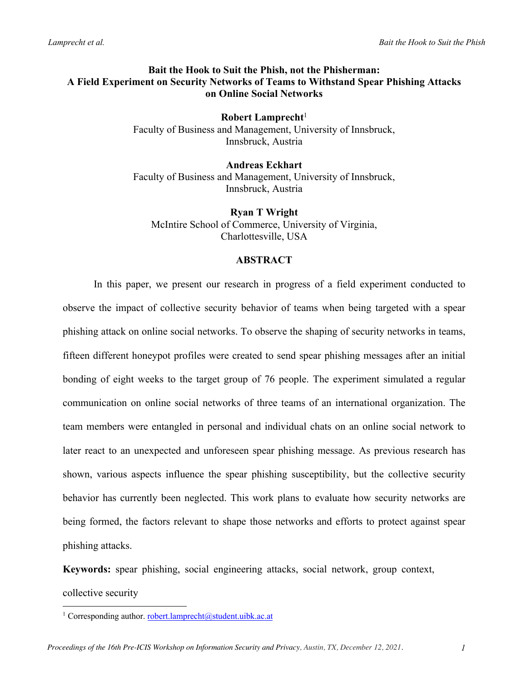# **Bait the Hook to Suit the Phish, not the Phisherman: A Field Experiment on Security Networks of Teams to Withstand Spear Phishing Attacks on Online Social Networks**

**Robert Lamprecht**<sup>1</sup> Faculty of Business and Management, University of Innsbruck, Innsbruck, Austria

**Andreas Eckhart** Faculty of Business and Management, University of Innsbruck, Innsbruck, Austria

**Ryan T Wright** McIntire School of Commerce, University of Virginia, Charlottesville, USA

# **ABSTRACT**

In this paper, we present our research in progress of a field experiment conducted to observe the impact of collective security behavior of teams when being targeted with a spear phishing attack on online social networks. To observe the shaping of security networks in teams, fifteen different honeypot profiles were created to send spear phishing messages after an initial bonding of eight weeks to the target group of 76 people. The experiment simulated a regular communication on online social networks of three teams of an international organization. The team members were entangled in personal and individual chats on an online social network to later react to an unexpected and unforeseen spear phishing message. As previous research has shown, various aspects influence the spear phishing susceptibility, but the collective security behavior has currently been neglected. This work plans to evaluate how security networks are being formed, the factors relevant to shape those networks and efforts to protect against spear phishing attacks.

**Keywords:** spear phishing, social engineering attacks, social network, group context,

collective security

<sup>&</sup>lt;sup>1</sup> Corresponding author. robert.lamprecht@student.uibk.ac.at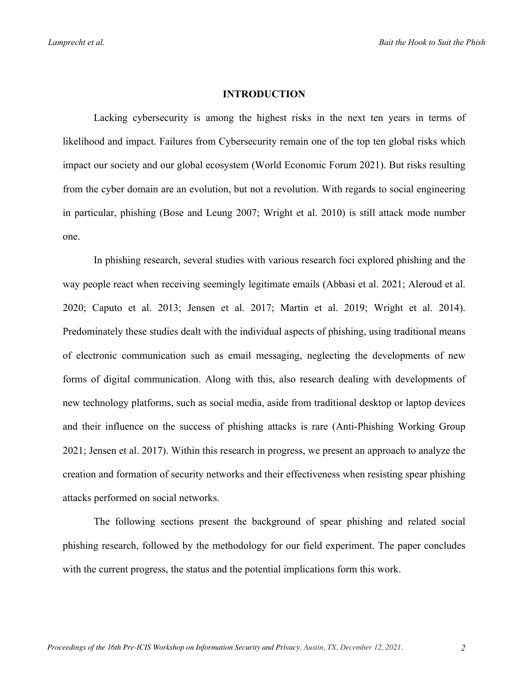#### **INTRODUCTION**

Lacking cybersecurity is among the highest risks in the next ten years in terms of likelihood and impact. Failures from Cybersecurity remain one of the top ten global risks which impact our society and our global ecosystem (World Economic Forum 2021). But risks resulting from the cyber domain are an evolution, but not a revolution. With regards to social engineering in particular, phishing (Bose and Leung 2007; Wright et al. 2010) is still attack mode number one.

In phishing research, several studies with various research foci explored phishing and the way people react when receiving seemingly legitimate emails (Abbasi et al. 2021; Aleroud et al. 2020; Caputo et al. 2013; Jensen et al. 2017; Martin et al. 2019; Wright et al. 2014). Predominately these studies dealt with the individual aspects of phishing, using traditional means of electronic communication such as email messaging, neglecting the developments of new forms of digital communication. Along with this, also research dealing with developments of new technology platforms, such as social media, aside from traditional desktop or laptop devices and their influence on the success of phishing attacks is rare (Anti-Phishing Working Group 2021; Jensen et al. 2017). Within this research in progress, we present an approach to analyze the creation and formation of security networks and their effectiveness when resisting spear phishing attacks performed on social networks.

The following sections present the background of spear phishing and related social phishing research, followed by the methodology for our field experiment. The paper concludes with the current progress, the status and the potential implications form this work.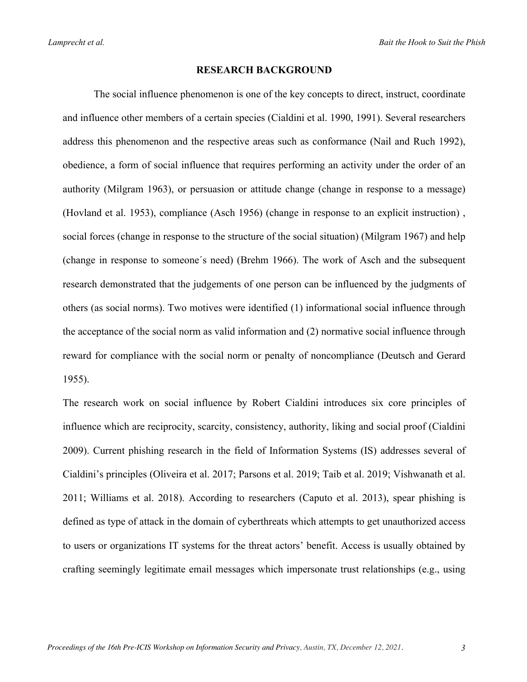#### **RESEARCH BACKGROUND**

The social influence phenomenon is one of the key concepts to direct, instruct, coordinate and influence other members of a certain species (Cialdini et al. 1990, 1991). Several researchers address this phenomenon and the respective areas such as conformance (Nail and Ruch 1992), obedience, a form of social influence that requires performing an activity under the order of an authority (Milgram 1963), or persuasion or attitude change (change in response to a message) (Hovland et al. 1953), compliance (Asch 1956) (change in response to an explicit instruction) , social forces (change in response to the structure of the social situation) (Milgram 1967) and help (change in response to someone´s need) (Brehm 1966). The work of Asch and the subsequent research demonstrated that the judgements of one person can be influenced by the judgments of others (as social norms). Two motives were identified (1) informational social influence through the acceptance of the social norm as valid information and (2) normative social influence through reward for compliance with the social norm or penalty of noncompliance (Deutsch and Gerard 1955).

The research work on social influence by Robert Cialdini introduces six core principles of influence which are reciprocity, scarcity, consistency, authority, liking and social proof (Cialdini 2009). Current phishing research in the field of Information Systems (IS) addresses several of Cialdini's principles (Oliveira et al. 2017; Parsons et al. 2019; Taib et al. 2019; Vishwanath et al. 2011; Williams et al. 2018). According to researchers (Caputo et al. 2013), spear phishing is defined as type of attack in the domain of cyberthreats which attempts to get unauthorized access to users or organizations IT systems for the threat actors' benefit. Access is usually obtained by crafting seemingly legitimate email messages which impersonate trust relationships (e.g., using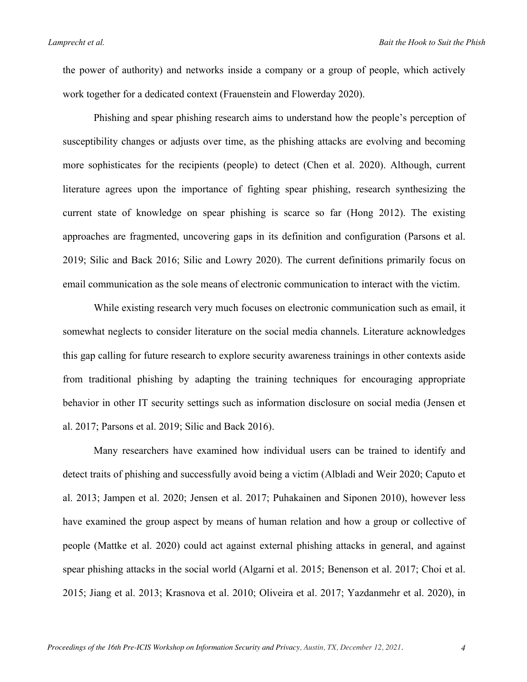the power of authority) and networks inside a company or a group of people, which actively work together for a dedicated context (Frauenstein and Flowerday 2020).

Phishing and spear phishing research aims to understand how the people's perception of susceptibility changes or adjusts over time, as the phishing attacks are evolving and becoming more sophisticates for the recipients (people) to detect (Chen et al. 2020). Although, current literature agrees upon the importance of fighting spear phishing, research synthesizing the current state of knowledge on spear phishing is scarce so far (Hong 2012). The existing approaches are fragmented, uncovering gaps in its definition and configuration (Parsons et al. 2019; Silic and Back 2016; Silic and Lowry 2020). The current definitions primarily focus on email communication as the sole means of electronic communication to interact with the victim.

While existing research very much focuses on electronic communication such as email, it somewhat neglects to consider literature on the social media channels. Literature acknowledges this gap calling for future research to explore security awareness trainings in other contexts aside from traditional phishing by adapting the training techniques for encouraging appropriate behavior in other IT security settings such as information disclosure on social media (Jensen et al. 2017; Parsons et al. 2019; Silic and Back 2016).

Many researchers have examined how individual users can be trained to identify and detect traits of phishing and successfully avoid being a victim (Albladi and Weir 2020; Caputo et al. 2013; Jampen et al. 2020; Jensen et al. 2017; Puhakainen and Siponen 2010), however less have examined the group aspect by means of human relation and how a group or collective of people (Mattke et al. 2020) could act against external phishing attacks in general, and against spear phishing attacks in the social world (Algarni et al. 2015; Benenson et al. 2017; Choi et al. 2015; Jiang et al. 2013; Krasnova et al. 2010; Oliveira et al. 2017; Yazdanmehr et al. 2020), in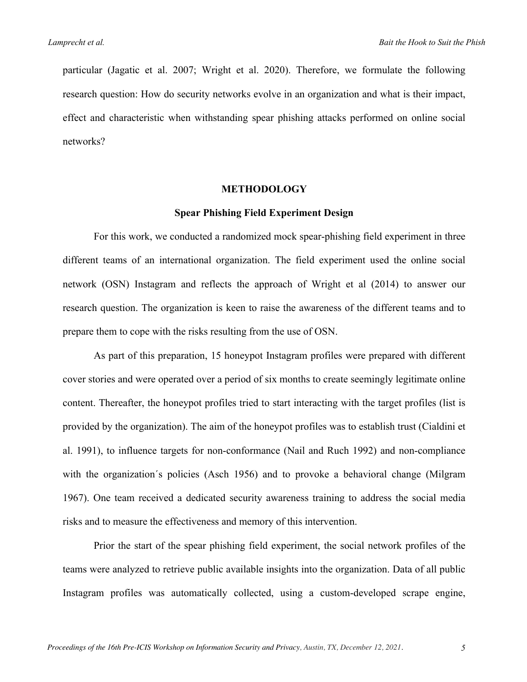particular (Jagatic et al. 2007; Wright et al. 2020). Therefore, we formulate the following research question: How do security networks evolve in an organization and what is their impact, effect and characteristic when withstanding spear phishing attacks performed on online social networks?

#### **METHODOLOGY**

# **Spear Phishing Field Experiment Design**

For this work, we conducted a randomized mock spear-phishing field experiment in three different teams of an international organization. The field experiment used the online social network (OSN) Instagram and reflects the approach of Wright et al (2014) to answer our research question. The organization is keen to raise the awareness of the different teams and to prepare them to cope with the risks resulting from the use of OSN.

As part of this preparation, 15 honeypot Instagram profiles were prepared with different cover stories and were operated over a period of six months to create seemingly legitimate online content. Thereafter, the honeypot profiles tried to start interacting with the target profiles (list is provided by the organization). The aim of the honeypot profiles was to establish trust (Cialdini et al. 1991), to influence targets for non-conformance (Nail and Ruch 1992) and non-compliance with the organization´s policies (Asch 1956) and to provoke a behavioral change (Milgram 1967). One team received a dedicated security awareness training to address the social media risks and to measure the effectiveness and memory of this intervention.

Prior the start of the spear phishing field experiment, the social network profiles of the teams were analyzed to retrieve public available insights into the organization. Data of all public Instagram profiles was automatically collected, using a custom-developed scrape engine,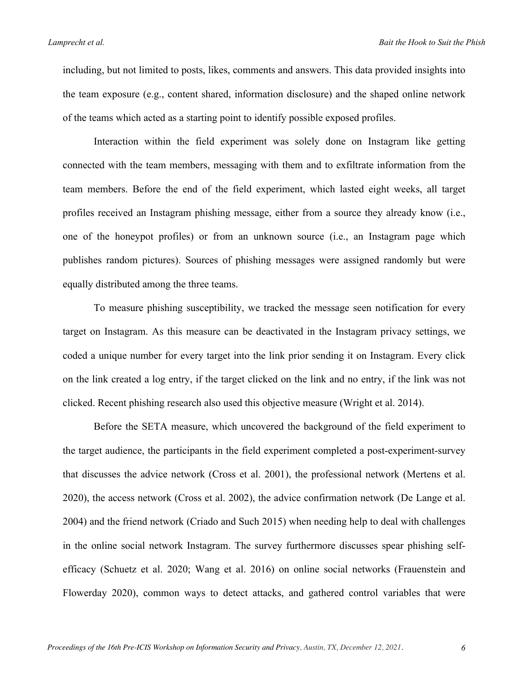including, but not limited to posts, likes, comments and answers. This data provided insights into the team exposure (e.g., content shared, information disclosure) and the shaped online network of the teams which acted as a starting point to identify possible exposed profiles.

Interaction within the field experiment was solely done on Instagram like getting connected with the team members, messaging with them and to exfiltrate information from the team members. Before the end of the field experiment, which lasted eight weeks, all target profiles received an Instagram phishing message, either from a source they already know (i.e., one of the honeypot profiles) or from an unknown source (i.e., an Instagram page which publishes random pictures). Sources of phishing messages were assigned randomly but were equally distributed among the three teams.

To measure phishing susceptibility, we tracked the message seen notification for every target on Instagram. As this measure can be deactivated in the Instagram privacy settings, we coded a unique number for every target into the link prior sending it on Instagram. Every click on the link created a log entry, if the target clicked on the link and no entry, if the link was not clicked. Recent phishing research also used this objective measure (Wright et al. 2014).

Before the SETA measure, which uncovered the background of the field experiment to the target audience, the participants in the field experiment completed a post-experiment-survey that discusses the advice network (Cross et al. 2001), the professional network (Mertens et al. 2020), the access network (Cross et al. 2002), the advice confirmation network (De Lange et al. 2004) and the friend network (Criado and Such 2015) when needing help to deal with challenges in the online social network Instagram. The survey furthermore discusses spear phishing selfefficacy (Schuetz et al. 2020; Wang et al. 2016) on online social networks (Frauenstein and Flowerday 2020), common ways to detect attacks, and gathered control variables that were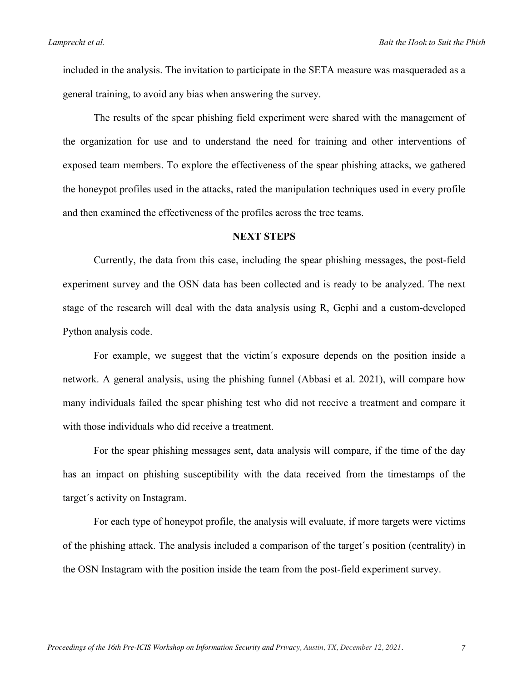included in the analysis. The invitation to participate in the SETA measure was masqueraded as a general training, to avoid any bias when answering the survey.

The results of the spear phishing field experiment were shared with the management of the organization for use and to understand the need for training and other interventions of exposed team members. To explore the effectiveness of the spear phishing attacks, we gathered the honeypot profiles used in the attacks, rated the manipulation techniques used in every profile and then examined the effectiveness of the profiles across the tree teams.

# **NEXT STEPS**

Currently, the data from this case, including the spear phishing messages, the post-field experiment survey and the OSN data has been collected and is ready to be analyzed. The next stage of the research will deal with the data analysis using R, Gephi and a custom-developed Python analysis code.

For example, we suggest that the victim´s exposure depends on the position inside a network. A general analysis, using the phishing funnel (Abbasi et al. 2021), will compare how many individuals failed the spear phishing test who did not receive a treatment and compare it with those individuals who did receive a treatment.

For the spear phishing messages sent, data analysis will compare, if the time of the day has an impact on phishing susceptibility with the data received from the timestamps of the target´s activity on Instagram.

For each type of honeypot profile, the analysis will evaluate, if more targets were victims of the phishing attack. The analysis included a comparison of the target´s position (centrality) in the OSN Instagram with the position inside the team from the post-field experiment survey.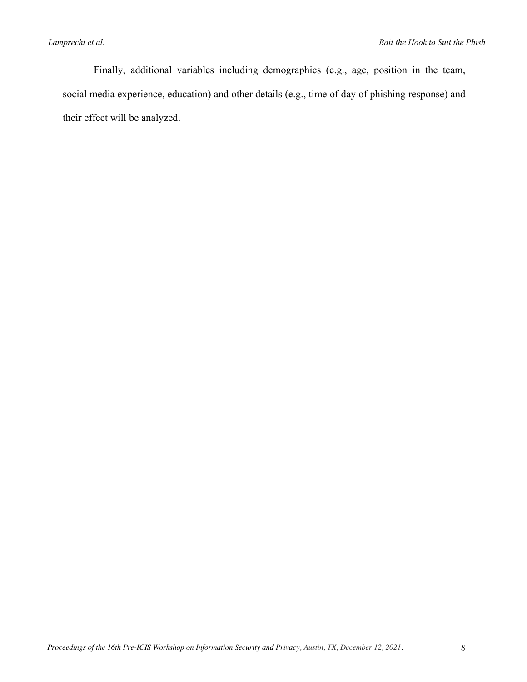Finally, additional variables including demographics (e.g., age, position in the team, social media experience, education) and other details (e.g., time of day of phishing response) and their effect will be analyzed.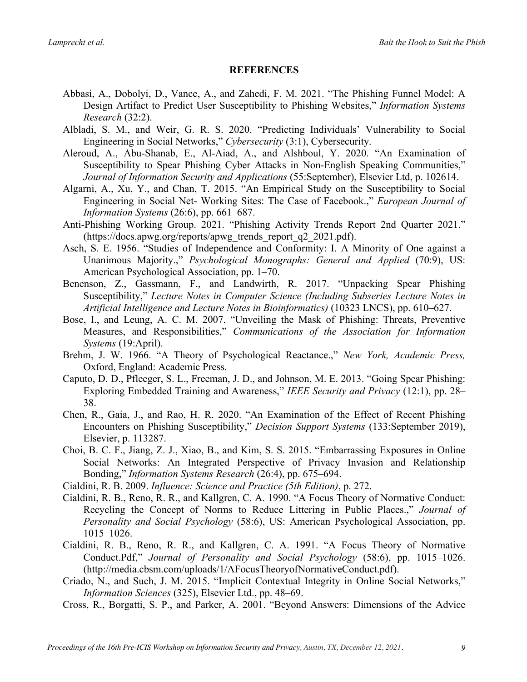# **REFERENCES**

- Abbasi, A., Dobolyi, D., Vance, A., and Zahedi, F. M. 2021. "The Phishing Funnel Model: A Design Artifact to Predict User Susceptibility to Phishing Websites," *Information Systems Research* (32:2).
- Albladi, S. M., and Weir, G. R. S. 2020. "Predicting Individuals' Vulnerability to Social Engineering in Social Networks," *Cybersecurity* (3:1), Cybersecurity.
- Aleroud, A., Abu-Shanab, E., Al-Aiad, A., and Alshboul, Y. 2020. "An Examination of Susceptibility to Spear Phishing Cyber Attacks in Non-English Speaking Communities," *Journal of Information Security and Applications* (55:September), Elsevier Ltd, p. 102614.
- Algarni, A., Xu, Y., and Chan, T. 2015. "An Empirical Study on the Susceptibility to Social Engineering in Social Net- Working Sites: The Case of Facebook.," *European Journal of Information Systems* (26:6), pp. 661–687.
- Anti-Phishing Working Group. 2021. "Phishing Activity Trends Report 2nd Quarter 2021." (https://docs.apwg.org/reports/apwg\_trends\_report\_q2\_2021.pdf).
- Asch, S. E. 1956. "Studies of Independence and Conformity: I. A Minority of One against a Unanimous Majority.," *Psychological Monographs: General and Applied* (70:9), US: American Psychological Association, pp. 1–70.
- Benenson, Z., Gassmann, F., and Landwirth, R. 2017. "Unpacking Spear Phishing Susceptibility," *Lecture Notes in Computer Science (Including Subseries Lecture Notes in Artificial Intelligence and Lecture Notes in Bioinformatics)* (10323 LNCS), pp. 610–627.
- Bose, I., and Leung, A. C. M. 2007. "Unveiling the Mask of Phishing: Threats, Preventive Measures, and Responsibilities," *Communications of the Association for Information Systems* (19:April).
- Brehm, J. W. 1966. "A Theory of Psychological Reactance.," *New York, Academic Press,* Oxford, England: Academic Press.
- Caputo, D. D., Pfleeger, S. L., Freeman, J. D., and Johnson, M. E. 2013. "Going Spear Phishing: Exploring Embedded Training and Awareness," *IEEE Security and Privacy* (12:1), pp. 28– 38.
- Chen, R., Gaia, J., and Rao, H. R. 2020. "An Examination of the Effect of Recent Phishing Encounters on Phishing Susceptibility," *Decision Support Systems* (133:September 2019), Elsevier, p. 113287.
- Choi, B. C. F., Jiang, Z. J., Xiao, B., and Kim, S. S. 2015. "Embarrassing Exposures in Online Social Networks: An Integrated Perspective of Privacy Invasion and Relationship Bonding," *Information Systems Research* (26:4), pp. 675–694.
- Cialdini, R. B. 2009. *Influence: Science and Practice (5th Edition)*, p. 272.
- Cialdini, R. B., Reno, R. R., and Kallgren, C. A. 1990. "A Focus Theory of Normative Conduct: Recycling the Concept of Norms to Reduce Littering in Public Places.," *Journal of Personality and Social Psychology* (58:6), US: American Psychological Association, pp. 1015–1026.
- Cialdini, R. B., Reno, R. R., and Kallgren, C. A. 1991. "A Focus Theory of Normative Conduct.Pdf," *Journal of Personality and Social Psychology* (58:6), pp. 1015–1026. (http://media.cbsm.com/uploads/1/AFocusTheoryofNormativeConduct.pdf).
- Criado, N., and Such, J. M. 2015. "Implicit Contextual Integrity in Online Social Networks," *Information Sciences* (325), Elsevier Ltd., pp. 48–69.
- Cross, R., Borgatti, S. P., and Parker, A. 2001. "Beyond Answers: Dimensions of the Advice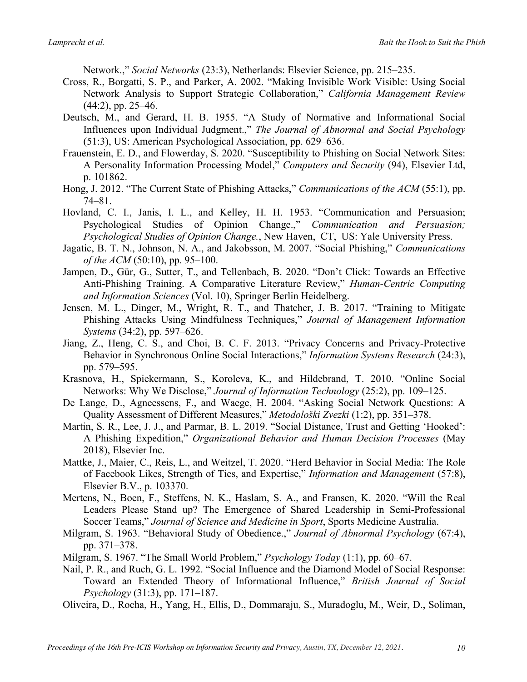Network.," *Social Networks* (23:3), Netherlands: Elsevier Science, pp. 215–235.

- Cross, R., Borgatti, S. P., and Parker, A. 2002. "Making Invisible Work Visible: Using Social Network Analysis to Support Strategic Collaboration," *California Management Review*  $(44:2)$ , pp. 25–46.
- Deutsch, M., and Gerard, H. B. 1955. "A Study of Normative and Informational Social Influences upon Individual Judgment.," *The Journal of Abnormal and Social Psychology* (51:3), US: American Psychological Association, pp. 629–636.
- Frauenstein, E. D., and Flowerday, S. 2020. "Susceptibility to Phishing on Social Network Sites: A Personality Information Processing Model," *Computers and Security* (94), Elsevier Ltd, p. 101862.
- Hong, J. 2012. "The Current State of Phishing Attacks," *Communications of the ACM* (55:1), pp. 74–81.
- Hovland, C. I., Janis, I. L., and Kelley, H. H. 1953. "Communication and Persuasion; Psychological Studies of Opinion Change.," *Communication and Persuasion; Psychological Studies of Opinion Change.*, New Haven, CT, US: Yale University Press.
- Jagatic, B. T. N., Johnson, N. A., and Jakobsson, M. 2007. "Social Phishing," *Communications of the ACM* (50:10), pp. 95–100.
- Jampen, D., Gür, G., Sutter, T., and Tellenbach, B. 2020. "Don't Click: Towards an Effective Anti-Phishing Training. A Comparative Literature Review," *Human-Centric Computing and Information Sciences* (Vol. 10), Springer Berlin Heidelberg.
- Jensen, M. L., Dinger, M., Wright, R. T., and Thatcher, J. B. 2017. "Training to Mitigate Phishing Attacks Using Mindfulness Techniques," *Journal of Management Information Systems* (34:2), pp. 597–626.
- Jiang, Z., Heng, C. S., and Choi, B. C. F. 2013. "Privacy Concerns and Privacy-Protective Behavior in Synchronous Online Social Interactions," *Information Systems Research* (24:3), pp. 579–595.
- Krasnova, H., Spiekermann, S., Koroleva, K., and Hildebrand, T. 2010. "Online Social Networks: Why We Disclose," *Journal of Information Technology* (25:2), pp. 109–125.
- De Lange, D., Agneessens, F., and Waege, H. 2004. "Asking Social Network Questions: A Quality Assessment of Different Measures," *Metodološki Zvezki* (1:2), pp. 351–378.
- Martin, S. R., Lee, J. J., and Parmar, B. L. 2019. "Social Distance, Trust and Getting 'Hooked': A Phishing Expedition," *Organizational Behavior and Human Decision Processes* (May 2018), Elsevier Inc.
- Mattke, J., Maier, C., Reis, L., and Weitzel, T. 2020. "Herd Behavior in Social Media: The Role of Facebook Likes, Strength of Ties, and Expertise," *Information and Management* (57:8), Elsevier B.V., p. 103370.
- Mertens, N., Boen, F., Steffens, N. K., Haslam, S. A., and Fransen, K. 2020. "Will the Real Leaders Please Stand up? The Emergence of Shared Leadership in Semi-Professional Soccer Teams," *Journal of Science and Medicine in Sport*, Sports Medicine Australia.
- Milgram, S. 1963. "Behavioral Study of Obedience.," *Journal of Abnormal Psychology* (67:4), pp. 371–378.
- Milgram, S. 1967. "The Small World Problem," *Psychology Today* (1:1), pp. 60–67.
- Nail, P. R., and Ruch, G. L. 1992. "Social Influence and the Diamond Model of Social Response: Toward an Extended Theory of Informational Influence," *British Journal of Social Psychology* (31:3), pp. 171–187.
- Oliveira, D., Rocha, H., Yang, H., Ellis, D., Dommaraju, S., Muradoglu, M., Weir, D., Soliman,